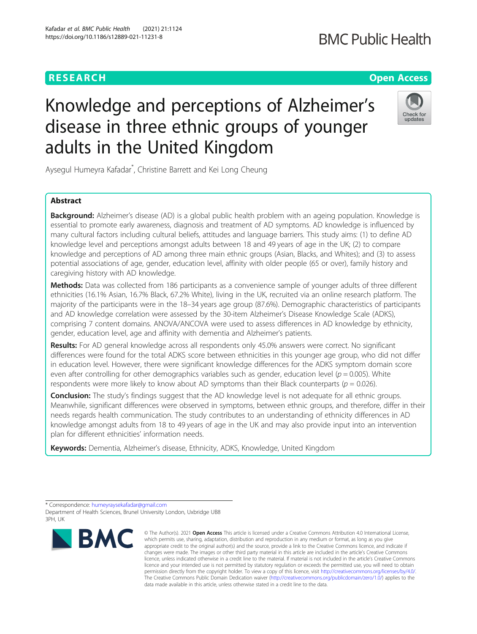## **RESEARCH CHE Open Access**

## **BMC Public Health**

# Knowledge and perceptions of Alzheimer's disease in three ethnic groups of younger adults in the United Kingdom



Aysegul Humeyra Kafadar\* , Christine Barrett and Kei Long Cheung

### Abstract

**Background:** Alzheimer's disease (AD) is a global public health problem with an ageing population. Knowledge is essential to promote early awareness, diagnosis and treatment of AD symptoms. AD knowledge is influenced by many cultural factors including cultural beliefs, attitudes and language barriers. This study aims: (1) to define AD knowledge level and perceptions amongst adults between 18 and 49 years of age in the UK; (2) to compare knowledge and perceptions of AD among three main ethnic groups (Asian, Blacks, and Whites); and (3) to assess potential associations of age, gender, education level, affinity with older people (65 or over), family history and caregiving history with AD knowledge.

Methods: Data was collected from 186 participants as a convenience sample of younger adults of three different ethnicities (16.1% Asian, 16.7% Black, 67.2% White), living in the UK, recruited via an online research platform. The majority of the participants were in the 18–34 years age group (87.6%). Demographic characteristics of participants and AD knowledge correlation were assessed by the 30-item Alzheimer's Disease Knowledge Scale (ADKS), comprising 7 content domains. ANOVA/ANCOVA were used to assess differences in AD knowledge by ethnicity, gender, education level, age and affinity with dementia and Alzheimer's patients.

Results: For AD general knowledge across all respondents only 45.0% answers were correct. No significant differences were found for the total ADKS score between ethnicities in this younger age group, who did not differ in education level. However, there were significant knowledge differences for the ADKS symptom domain score even after controlling for other demographics variables such as gender, education level ( $p = 0.005$ ). White respondents were more likely to know about AD symptoms than their Black counterparts ( $p = 0.026$ ).

**Conclusion:** The study's findings suggest that the AD knowledge level is not adequate for all ethnic groups. Meanwhile, significant differences were observed in symptoms, between ethnic groups, and therefore, differ in their needs regards health communication. The study contributes to an understanding of ethnicity differences in AD knowledge amongst adults from 18 to 49 years of age in the UK and may also provide input into an intervention plan for different ethnicities' information needs.

Keywords: Dementia, Alzheimer's disease, Ethnicity, ADKS, Knowledge, United Kingdom

<sup>\*</sup> Correspondence: [humeyraysekafadar@gmail.com](mailto:humeyraysekafadar@gmail.com) Department of Health Sciences, Brunel University London, Uxbridge UB8 3PH, UK



<sup>©</sup> The Author(s), 2021 **Open Access** This article is licensed under a Creative Commons Attribution 4.0 International License, which permits use, sharing, adaptation, distribution and reproduction in any medium or format, as long as you give appropriate credit to the original author(s) and the source, provide a link to the Creative Commons licence, and indicate if changes were made. The images or other third party material in this article are included in the article's Creative Commons licence, unless indicated otherwise in a credit line to the material. If material is not included in the article's Creative Commons licence and your intended use is not permitted by statutory regulation or exceeds the permitted use, you will need to obtain permission directly from the copyright holder. To view a copy of this licence, visit [http://creativecommons.org/licenses/by/4.0/.](http://creativecommons.org/licenses/by/4.0/) The Creative Commons Public Domain Dedication waiver [\(http://creativecommons.org/publicdomain/zero/1.0/](http://creativecommons.org/publicdomain/zero/1.0/)) applies to the data made available in this article, unless otherwise stated in a credit line to the data.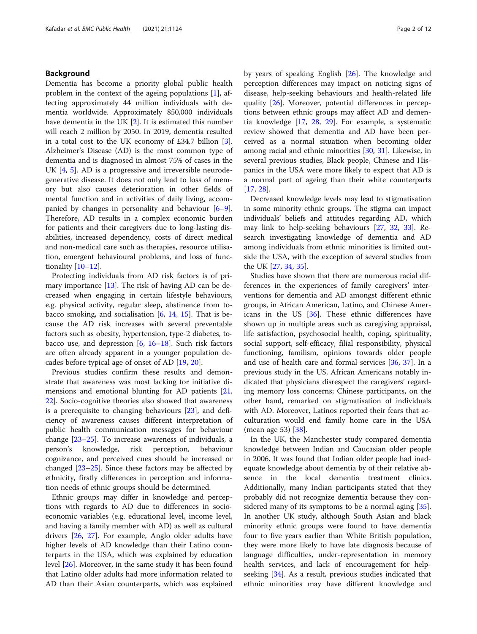### Background

Dementia has become a priority global public health problem in the context of the ageing populations [\[1](#page-10-0)], affecting approximately 44 million individuals with dementia worldwide. Approximately 850,000 individuals have dementia in the UK [\[2\]](#page-10-0). It is estimated this number will reach 2 million by 2050. In 2019, dementia resulted in a total cost to the UK economy of £34.7 billion [\[3](#page-10-0)]. Alzheimer's Disease (AD) is the most common type of dementia and is diagnosed in almost 75% of cases in the UK [\[4,](#page-10-0) [5\]](#page-10-0). AD is a progressive and irreversible neurodegenerative disease. It does not only lead to loss of memory but also causes deterioration in other fields of mental function and in activities of daily living, accompanied by changes in personality and behaviour [\[6](#page-10-0)–[9](#page-10-0)]. Therefore, AD results in a complex economic burden for patients and their caregivers due to long-lasting disabilities, increased dependency, costs of direct medical and non-medical care such as therapies, resource utilisation, emergent behavioural problems, and loss of functionality [\[10](#page-10-0)–[12\]](#page-10-0).

Protecting individuals from AD risk factors is of primary importance [\[13](#page-10-0)]. The risk of having AD can be decreased when engaging in certain lifestyle behaviours, e.g. physical activity, regular sleep, abstinence from tobacco smoking, and socialisation  $[6, 14, 15]$  $[6, 14, 15]$  $[6, 14, 15]$  $[6, 14, 15]$  $[6, 14, 15]$ . That is because the AD risk increases with several preventable factors such as obesity, hypertension, type-2 diabetes, tobacco use, and depression  $[6, 16-18]$  $[6, 16-18]$  $[6, 16-18]$  $[6, 16-18]$  $[6, 16-18]$  $[6, 16-18]$ . Such risk factors are often already apparent in a younger population decades before typical age of onset of AD [\[19](#page-10-0), [20\]](#page-10-0).

Previous studies confirm these results and demonstrate that awareness was most lacking for initiative dimensions and emotional blunting for AD patients [[21](#page-10-0), [22\]](#page-10-0). Socio-cognitive theories also showed that awareness is a prerequisite to changing behaviours [\[23](#page-10-0)], and deficiency of awareness causes different interpretation of public health communication messages for behaviour change [\[23](#page-10-0)–[25\]](#page-10-0). To increase awareness of individuals, a person's knowledge, risk perception, behaviour cognizance, and perceived cues should be increased or changed [\[23](#page-10-0)–[25\]](#page-10-0). Since these factors may be affected by ethnicity, firstly differences in perception and information needs of ethnic groups should be determined.

Ethnic groups may differ in knowledge and perceptions with regards to AD due to differences in socioeconomic variables (e.g. educational level, income level, and having a family member with AD) as well as cultural drivers [\[26](#page-10-0), [27\]](#page-10-0). For example, Anglo older adults have higher levels of AD knowledge than their Latino counterparts in the USA, which was explained by education level [\[26\]](#page-10-0). Moreover, in the same study it has been found that Latino older adults had more information related to AD than their Asian counterparts, which was explained by years of speaking English [[26](#page-10-0)]. The knowledge and perception differences may impact on noticing signs of disease, help-seeking behaviours and health-related life quality [[26\]](#page-10-0). Moreover, potential differences in perceptions between ethnic groups may affect AD and dementia knowledge [[17,](#page-10-0) [28,](#page-10-0) [29\]](#page-10-0). For example, a systematic review showed that dementia and AD have been perceived as a normal situation when becoming older among racial and ethnic minorities [\[30](#page-10-0), [31](#page-10-0)]. Likewise, in several previous studies, Black people, Chinese and Hispanics in the USA were more likely to expect that AD is a normal part of ageing than their white counterparts [[17,](#page-10-0) [28\]](#page-10-0).

Decreased knowledge levels may lead to stigmatisation in some minority ethnic groups. The stigma can impact individuals' beliefs and attitudes regarding AD, which may link to help-seeking behaviours [[27,](#page-10-0) [32,](#page-10-0) [33](#page-11-0)]. Research investigating knowledge of dementia and AD among individuals from ethnic minorities is limited outside the USA, with the exception of several studies from the UK [\[27](#page-10-0), [34](#page-11-0), [35](#page-11-0)].

Studies have shown that there are numerous racial differences in the experiences of family caregivers' interventions for dementia and AD amongst different ethnic groups, in African American, Latino, and Chinese Americans in the US [\[36](#page-11-0)]. These ethnic differences have shown up in multiple areas such as caregiving appraisal, life satisfaction, psychosocial health, coping, spirituality, social support, self-efficacy, filial responsibility, physical functioning, familism, opinions towards older people and use of health care and formal services [[36,](#page-11-0) [37](#page-11-0)]. In a previous study in the US, African Americans notably indicated that physicians disrespect the caregivers' regarding memory loss concerns; Chinese participants, on the other hand, remarked on stigmatisation of individuals with AD. Moreover, Latinos reported their fears that acculturation would end family home care in the USA (mean age 53) [[38\]](#page-11-0).

In the UK, the Manchester study compared dementia knowledge between Indian and Caucasian older people in 2006. It was found that Indian older people had inadequate knowledge about dementia by of their relative absence in the local dementia treatment clinics. Additionally, many Indian participants stated that they probably did not recognize dementia because they considered many of its symptoms to be a normal aging [\[35](#page-11-0)]. In another UK study, although South Asian and black minority ethnic groups were found to have dementia four to five years earlier than White British population, they were more likely to have late diagnosis because of language difficulties, under-representation in memory health services, and lack of encouragement for helpseeking [[34](#page-11-0)]. As a result, previous studies indicated that ethnic minorities may have different knowledge and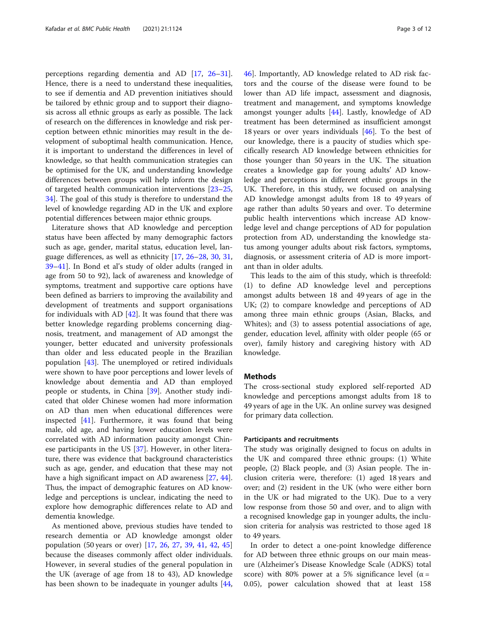perceptions regarding dementia and AD [[17,](#page-10-0) [26](#page-10-0)–[31](#page-10-0)]. Hence, there is a need to understand these inequalities, to see if dementia and AD prevention initiatives should be tailored by ethnic group and to support their diagnosis across all ethnic groups as early as possible. The lack of research on the differences in knowledge and risk perception between ethnic minorities may result in the development of suboptimal health communication. Hence, it is important to understand the differences in level of knowledge, so that health communication strategies can be optimised for the UK, and understanding knowledge differences between groups will help inform the design of targeted health communication interventions [[23](#page-10-0)–[25](#page-10-0), [34\]](#page-11-0). The goal of this study is therefore to understand the level of knowledge regarding AD in the UK and explore potential differences between major ethnic groups.

Literature shows that AD knowledge and perception status have been affected by many demographic factors such as age, gender, marital status, education level, language differences, as well as ethnicity [\[17,](#page-10-0) [26](#page-10-0)–[28,](#page-10-0) [30](#page-10-0), [31](#page-10-0), [39](#page-11-0)–[41](#page-11-0)]. In Bond et al's study of older adults (ranged in age from 50 to 92), lack of awareness and knowledge of symptoms, treatment and supportive care options have been defined as barriers to improving the availability and development of treatments and support organisations for individuals with AD  $[42]$  $[42]$ . It was found that there was better knowledge regarding problems concerning diagnosis, treatment, and management of AD amongst the younger, better educated and university professionals than older and less educated people in the Brazilian population [\[43\]](#page-11-0). The unemployed or retired individuals were shown to have poor perceptions and lower levels of knowledge about dementia and AD than employed people or students, in China [[39](#page-11-0)]. Another study indicated that older Chinese women had more information on AD than men when educational differences were inspected [\[41\]](#page-11-0). Furthermore, it was found that being male, old age, and having lower education levels were correlated with AD information paucity amongst Chinese participants in the US [[37\]](#page-11-0). However, in other literature, there was evidence that background characteristics such as age, gender, and education that these may not have a high significant impact on AD awareness [\[27](#page-10-0), [44](#page-11-0)]. Thus, the impact of demographic features on AD knowledge and perceptions is unclear, indicating the need to explore how demographic differences relate to AD and dementia knowledge.

As mentioned above, previous studies have tended to research dementia or AD knowledge amongst older population (50 years or over) [[17,](#page-10-0) [26](#page-10-0), [27,](#page-10-0) [39](#page-11-0), [41](#page-11-0), [42,](#page-11-0) [45](#page-11-0)] because the diseases commonly affect older individuals. However, in several studies of the general population in the UK (average of age from 18 to 43), AD knowledge has been shown to be inadequate in younger adults [[44](#page-11-0), [46\]](#page-11-0). Importantly, AD knowledge related to AD risk factors and the course of the disease were found to be lower than AD life impact, assessment and diagnosis, treatment and management, and symptoms knowledge amongst younger adults [[44\]](#page-11-0). Lastly, knowledge of AD treatment has been determined as insufficient amongst 18 years or over years individuals [\[46](#page-11-0)]. To the best of our knowledge, there is a paucity of studies which specifically research AD knowledge between ethnicities for those younger than 50 years in the UK. The situation creates a knowledge gap for young adults' AD knowledge and perceptions in different ethnic groups in the UK. Therefore, in this study, we focused on analysing AD knowledge amongst adults from 18 to 49 years of age rather than adults 50 years and over. To determine public health interventions which increase AD knowledge level and change perceptions of AD for population protection from AD, understanding the knowledge status among younger adults about risk factors, symptoms, diagnosis, or assessment criteria of AD is more important than in older adults.

This leads to the aim of this study, which is threefold: (1) to define AD knowledge level and perceptions amongst adults between 18 and 49 years of age in the UK; (2) to compare knowledge and perceptions of AD among three main ethnic groups (Asian, Blacks, and Whites); and (3) to assess potential associations of age, gender, education level, affinity with older people (65 or over), family history and caregiving history with AD knowledge.

### **Methods**

The cross-sectional study explored self-reported AD knowledge and perceptions amongst adults from 18 to 49 years of age in the UK. An online survey was designed for primary data collection.

### Participants and recruitments

The study was originally designed to focus on adults in the UK and compared three ethnic groups: (1) White people, (2) Black people, and (3) Asian people. The inclusion criteria were, therefore: (1) aged 18 years and over; and (2) resident in the UK (who were either born in the UK or had migrated to the UK). Due to a very low response from those 50 and over, and to align with a recognised knowledge gap in younger adults, the inclusion criteria for analysis was restricted to those aged 18 to 49 years.

In order to detect a one-point knowledge difference for AD between three ethnic groups on our main measure (Alzheimer's Disease Knowledge Scale (ADKS) total score) with 80% power at a 5% significance level ( $\alpha$  = 0.05), power calculation showed that at least 158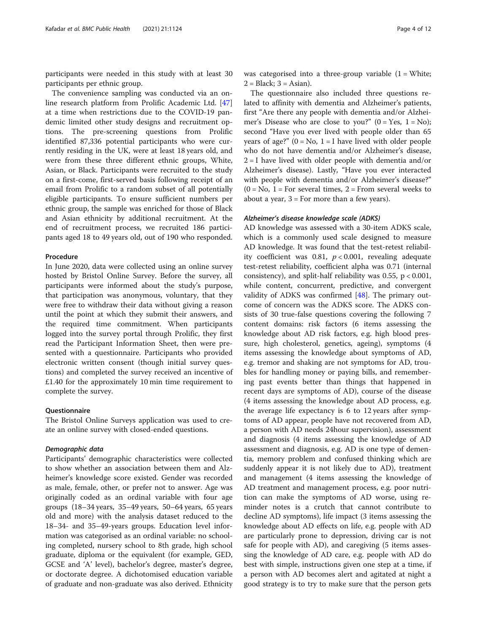participants were needed in this study with at least 30 participants per ethnic group.

The convenience sampling was conducted via an online research platform from Prolific Academic Ltd. [[47](#page-11-0)] at a time when restrictions due to the COVID-19 pandemic limited other study designs and recruitment options. The pre-screening questions from Prolific identified 87,336 potential participants who were currently residing in the UK, were at least 18 years old, and were from these three different ethnic groups, White, Asian, or Black. Participants were recruited to the study on a first-come, first-served basis following receipt of an email from Prolific to a random subset of all potentially eligible participants. To ensure sufficient numbers per ethnic group, the sample was enriched for those of Black and Asian ethnicity by additional recruitment. At the end of recruitment process, we recruited 186 participants aged 18 to 49 years old, out of 190 who responded.

### **Procedure**

In June 2020, data were collected using an online survey hosted by Bristol Online Survey. Before the survey, all participants were informed about the study's purpose, that participation was anonymous, voluntary, that they were free to withdraw their data without giving a reason until the point at which they submit their answers, and the required time commitment. When participants logged into the survey portal through Prolific, they first read the Participant Information Sheet, then were presented with a questionnaire. Participants who provided electronic written consent (though initial survey questions) and completed the survey received an incentive of £1.40 for the approximately 10 min time requirement to complete the survey.

### **Ouestionnaire**

The Bristol Online Surveys application was used to create an online survey with closed-ended questions.

### Demographic data

Participants' demographic characteristics were collected to show whether an association between them and Alzheimer's knowledge score existed. Gender was recorded as male, female, other, or prefer not to answer. Age was originally coded as an ordinal variable with four age groups (18–34 years, 35–49 years, 50–64 years, 65 years old and more) with the analysis dataset reduced to the 18–34- and 35–49-years groups. Education level information was categorised as an ordinal variable: no schooling completed, nursery school to 8th grade, high school graduate, diploma or the equivalent (for example, GED, GCSE and 'A' level), bachelor's degree, master's degree, or doctorate degree. A dichotomised education variable of graduate and non-graduate was also derived. Ethnicity was categorised into a three-group variable  $(1 = \text{White})$ ;  $2 = Black$ ;  $3 = Asian$ ).

The questionnaire also included three questions related to affinity with dementia and Alzheimer's patients, first "Are there any people with dementia and/or Alzheimer's Disease who are close to you?"  $(0 = Yes, 1 = No);$ second "Have you ever lived with people older than 65 years of age?"  $(0 = No, 1 = I$  have lived with older people who do not have dementia and/or Alzheimer's disease,  $2 = I$  have lived with older people with dementia and/or Alzheimer's disease). Lastly, "Have you ever interacted with people with dementia and/or Alzheimer's disease?"  $(0 = No, 1 = For several times, 2 = From several weeks to$ about a year,  $3 = For$  more than a few years).

### Alzheimer's disease knowledge scale (ADKS)

AD knowledge was assessed with a 30-item ADKS scale, which is a commonly used scale designed to measure AD knowledge. It was found that the test-retest reliability coefficient was 0.81,  $p < 0.001$ , revealing adequate test-retest reliability, coefficient alpha was 0.71 (internal consistency), and split-half reliability was  $0.55$ ,  $p < 0.001$ , while content, concurrent, predictive, and convergent validity of ADKS was confirmed  $[48]$  $[48]$  $[48]$ . The primary outcome of concern was the ADKS score. The ADKS consists of 30 true-false questions covering the following 7 content domains: risk factors (6 items assessing the knowledge about AD risk factors, e.g. high blood pressure, high cholesterol, genetics, ageing), symptoms (4 items assessing the knowledge about symptoms of AD, e.g. tremor and shaking are not symptoms for AD, troubles for handling money or paying bills, and remembering past events better than things that happened in recent days are symptoms of AD), course of the disease (4 items assessing the knowledge about AD process, e.g. the average life expectancy is 6 to 12 years after symptoms of AD appear, people have not recovered from AD, a person with AD needs 24hour supervision), assessment and diagnosis (4 items assessing the knowledge of AD assessment and diagnosis, e.g. AD is one type of dementia, memory problem and confused thinking which are suddenly appear it is not likely due to AD), treatment and management (4 items assessing the knowledge of AD treatment and management process, e.g. poor nutrition can make the symptoms of AD worse, using reminder notes is a crutch that cannot contribute to decline AD symptoms), life impact (3 items assessing the knowledge about AD effects on life, e.g. people with AD are particularly prone to depression, driving car is not safe for people with AD), and caregiving (5 items assessing the knowledge of AD care, e.g. people with AD do best with simple, instructions given one step at a time, if a person with AD becomes alert and agitated at night a good strategy is to try to make sure that the person gets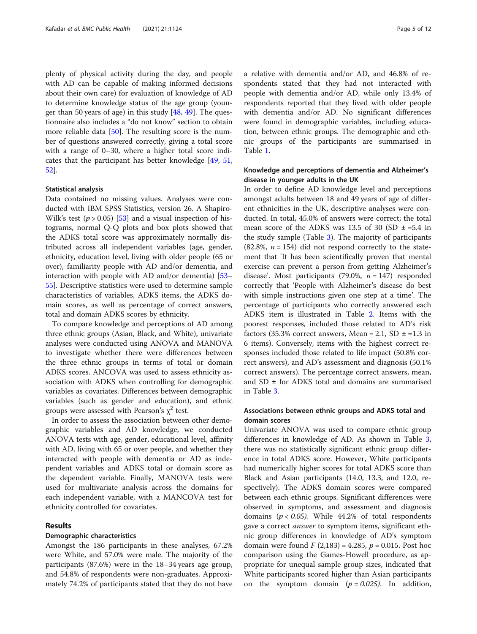plenty of physical activity during the day, and people with AD can be capable of making informed decisions about their own care) for evaluation of knowledge of AD to determine knowledge status of the age group (younger than 50 years of age) in this study [\[48,](#page-11-0) [49\]](#page-11-0). The questionnaire also includes a "do not know" section to obtain more reliable data [[50\]](#page-11-0). The resulting score is the number of questions answered correctly, giving a total score with a range of 0–30, where a higher total score indicates that the participant has better knowledge [[49](#page-11-0), [51](#page-11-0), [52\]](#page-11-0).

### Statistical analysis

Data contained no missing values. Analyses were conducted with IBM SPSS Statistics, version 26. A Shapiro-Wilk's test ( $p > 0.05$ ) [\[53](#page-11-0)] and a visual inspection of histograms, normal Q-Q plots and box plots showed that the ADKS total score was approximately normally distributed across all independent variables (age, gender, ethnicity, education level, living with older people (65 or over), familiarity people with AD and/or dementia, and interaction with people with AD and/or dementia) [[53](#page-11-0)– [55\]](#page-11-0). Descriptive statistics were used to determine sample characteristics of variables, ADKS items, the ADKS domain scores, as well as percentage of correct answers, total and domain ADKS scores by ethnicity.

To compare knowledge and perceptions of AD among three ethnic groups (Asian, Black, and White), univariate analyses were conducted using ANOVA and MANOVA to investigate whether there were differences between the three ethnic groups in terms of total or domain ADKS scores. ANCOVA was used to assess ethnicity association with ADKS when controlling for demographic variables as covariates. Differences between demographic variables (such as gender and education), and ethnic groups were assessed with Pearson's  $\chi^2$  test.

In order to assess the association between other demographic variables and AD knowledge, we conducted ANOVA tests with age, gender, educational level, affinity with AD, living with 65 or over people, and whether they interacted with people with dementia or AD as independent variables and ADKS total or domain score as the dependent variable. Finally, MANOVA tests were used for multivariate analysis across the domains for each independent variable, with a MANCOVA test for ethnicity controlled for covariates.

### Results

### Demographic characteristics

Amongst the 186 participants in these analyses, 67.2% were White, and 57.0% were male. The majority of the participants (87.6%) were in the 18–34 years age group, and 54.8% of respondents were non-graduates. Approximately 74.2% of participants stated that they do not have a relative with dementia and/or AD, and 46.8% of respondents stated that they had not interacted with people with dementia and/or AD, while only 13.4% of respondents reported that they lived with older people with dementia and/or AD. No significant differences were found in demographic variables, including education, between ethnic groups. The demographic and ethnic groups of the participants are summarised in Table [1.](#page-5-0)

### Knowledge and perceptions of dementia and Alzheimer's disease in younger adults in the UK

In order to define AD knowledge level and perceptions amongst adults between 18 and 49 years of age of different ethnicities in the UK, descriptive analyses were conducted. In total, 45.0% of answers were correct; the total mean score of the ADKS was 13.5 of 30 (SD  $\pm$  =5.4 in the study sample (Table [3](#page-7-0)). The majority of participants  $(82.8\%, n = 154)$  did not respond correctly to the statement that 'It has been scientifically proven that mental exercise can prevent a person from getting Alzheimer's disease'. Most participants (79.0%,  $n = 147$ ) responded correctly that 'People with Alzheimer's disease do best with simple instructions given one step at a time'. The percentage of participants who correctly answered each ADKS item is illustrated in Table [2.](#page-6-0) Items with the poorest responses, included those related to AD's risk factors (35.3% correct answers, Mean = 2.1, SD  $\pm$  =1.3 in 6 items). Conversely, items with the highest correct responses included those related to life impact (50.8% correct answers), and AD's assessment and diagnosis (50.1% correct answers). The percentage correct answers, mean, and SD ± for ADKS total and domains are summarised in Table [3.](#page-7-0)

### Associations between ethnic groups and ADKS total and domain scores

Univariate ANOVA was used to compare ethnic group differences in knowledge of AD. As shown in Table [3](#page-7-0), there was no statistically significant ethnic group difference in total ADKS score. However, White participants had numerically higher scores for total ADKS score than Black and Asian participants (14.0, 13.3, and 12.0, respectively). The ADKS domain scores were compared between each ethnic groups. Significant differences were observed in symptoms, and assessment and diagnosis domains ( $p < 0.05$ ). While 44.2% of total respondents gave a correct *answer* to symptom items, significant ethnic group differences in knowledge of AD's symptom domain were found  $F(2,183) = 4.285$ ,  $p = 0.015$ . Post hoc comparison using the Games-Howell procedure, as appropriate for unequal sample group sizes, indicated that White participants scored higher than Asian participants on the symptom domain  $(p = 0.025)$ . In addition,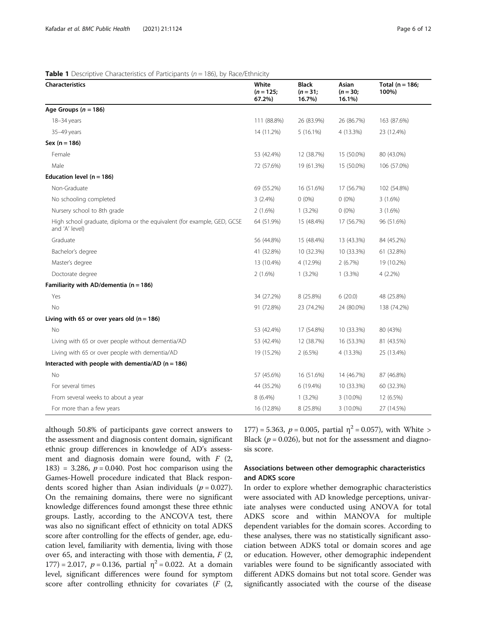### <span id="page-5-0"></span>**Table 1** Descriptive Characteristics of Participants ( $n = 186$ ), by Race/Ethnicity

| <b>Characteristics</b>                                                                    | White<br>$(n = 125;$<br>67.2%) | Black<br>$(n = 31;$<br>16.7%) | Asian<br>$(n = 30;$<br>16.1%) | Total $(n = 186;$<br>100%) |
|-------------------------------------------------------------------------------------------|--------------------------------|-------------------------------|-------------------------------|----------------------------|
| Age Groups ( $n = 186$ )                                                                  |                                |                               |                               |                            |
| 18-34 years                                                                               | 111 (88.8%)                    | 26 (83.9%)                    | 26 (86.7%)                    | 163 (87.6%)                |
| 35-49 years                                                                               | 14 (11.2%)                     | $5(16.1\%)$                   | 4 (13.3%)                     | 23 (12.4%)                 |
| $Sex (n = 186)$                                                                           |                                |                               |                               |                            |
| Female                                                                                    | 53 (42.4%)                     | 12 (38.7%)                    | 15 (50.0%)                    | 80 (43.0%)                 |
| Male                                                                                      | 72 (57.6%)                     | 19 (61.3%)                    | 15 (50.0%)                    | 106 (57.0%)                |
| Education level ( $n = 186$ )                                                             |                                |                               |                               |                            |
| Non-Graduate                                                                              | 69 (55.2%)                     | 16 (51.6%)                    | 17 (56.7%)                    | 102 (54.8%)                |
| No schooling completed                                                                    | 3(2.4%)                        | $0(0\%)$                      | $0(0\%)$                      | $3(1.6\%)$                 |
| Nursery school to 8th grade                                                               | $2(1.6\%)$                     | $1(3.2\%)$                    | $0(0\%)$                      | $3(1.6\%)$                 |
| High school graduate, diploma or the equivalent (for example, GED, GCSE<br>and 'A' level) | 64 (51.9%)                     | 15 (48.4%)                    | 17 (56.7%)                    | 96 (51.6%)                 |
| Graduate                                                                                  | 56 (44.8%)                     | 15 (48.4%)                    | 13 (43.3%)                    | 84 (45.2%)                 |
| Bachelor's degree                                                                         | 41 (32.8%)                     | 10 (32.3%)                    | 10 (33.3%)                    | 61 (32.8%)                 |
| Master's degree                                                                           | 13 (10.4%)                     | 4 (12.9%)                     | 2(6.7%)                       | 19 (10.2%)                 |
| Doctorate degree                                                                          | $2(1.6\%)$                     | $1(3.2\%)$                    | $1(3.3\%)$                    | $4(2.2\%)$                 |
| Familiarity with AD/dementia ( $n = 186$ )                                                |                                |                               |                               |                            |
| Yes                                                                                       | 34 (27.2%)                     | 8 (25.8%)                     | 6(20.0)                       | 48 (25.8%)                 |
| No                                                                                        | 91 (72.8%)                     | 23 (74.2%)                    | 24 (80.0%)                    | 138 (74.2%)                |
| Living with 65 or over years old $(n = 186)$                                              |                                |                               |                               |                            |
| No                                                                                        | 53 (42.4%)                     | 17 (54.8%)                    | 10 (33.3%)                    | 80 (43%)                   |
| Living with 65 or over people without dementia/AD                                         | 53 (42.4%)                     | 12 (38.7%)                    | 16 (53.3%)                    | 81 (43.5%)                 |
| Living with 65 or over people with dementia/AD                                            | 19 (15.2%)                     | $2(6.5\%)$                    | 4 (13.3%)                     | 25 (13.4%)                 |
| Interacted with people with dementia/AD ( $n = 186$ )                                     |                                |                               |                               |                            |
| No                                                                                        | 57 (45.6%)                     | 16 (51.6%)                    | 14 (46.7%)                    | 87 (46.8%)                 |
| For several times                                                                         | 44 (35.2%)                     | 6 (19.4%)                     | 10 (33.3%)                    | 60 (32.3%)                 |
| From several weeks to about a year                                                        | $8(6.4\%)$                     | $1(3.2\%)$                    | 3 (10.0%)                     | 12 (6.5%)                  |
| For more than a few years                                                                 | 16 (12.8%)                     | 8 (25.8%)                     | 3 (10.0%)                     | 27 (14.5%)                 |

although 50.8% of participants gave correct answers to the assessment and diagnosis content domain, significant ethnic group differences in knowledge of AD's assessment and diagnosis domain were found, with  $F(2,$ 183) = 3.286,  $p = 0.040$ . Post hoc comparison using the Games-Howell procedure indicated that Black respondents scored higher than Asian individuals ( $p = 0.027$ ). On the remaining domains, there were no significant knowledge differences found amongst these three ethnic groups. Lastly, according to the ANCOVA test, there was also no significant effect of ethnicity on total ADKS score after controlling for the effects of gender, age, education level, familiarity with dementia, living with those over 65, and interacting with those with dementia,  $F(2, 1)$ 177) = 2.017,  $p = 0.136$ , partial  $\eta^2 = 0.022$ . At a domain level, significant differences were found for symptom score after controlling ethnicity for covariates  $(F (2,$  177) = 5.363,  $p = 0.005$ , partial  $\eta^2 = 0.057$ ), with White > Black ( $p = 0.026$ ), but not for the assessment and diagnosis score.

### Associations between other demographic characteristics and ADKS score

In order to explore whether demographic characteristics were associated with AD knowledge perceptions, univariate analyses were conducted using ANOVA for total ADKS score and within MANOVA for multiple dependent variables for the domain scores. According to these analyses, there was no statistically significant association between ADKS total or domain scores and age or education. However, other demographic independent variables were found to be significantly associated with different ADKS domains but not total score. Gender was significantly associated with the course of the disease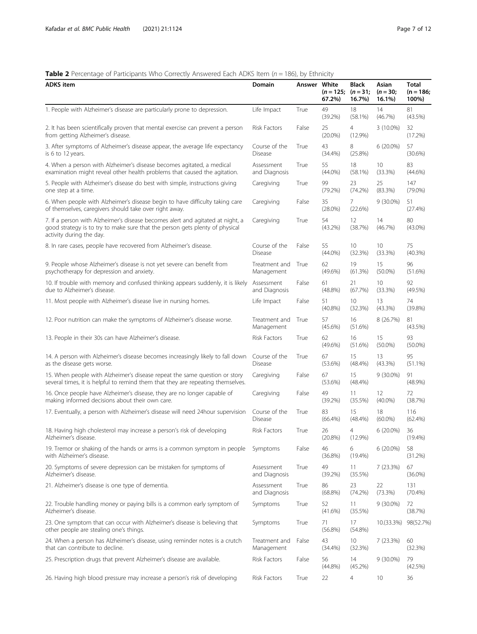### <span id="page-6-0"></span>**Table 2** Percentage of Participants Who Correctly Answered Each ADKS Item ( $n = 186$ ), by Ethnicity

| <b>ADKS</b> item                                                                                                                                                                           | Domain                          | Answer White | $(n = 125; (n = 31;$<br>67.2% | <b>Black</b><br>16.7%        | Asian<br>$(n = 30)$<br>16.1% | Total<br>$(n = 186;$<br>100%) |
|--------------------------------------------------------------------------------------------------------------------------------------------------------------------------------------------|---------------------------------|--------------|-------------------------------|------------------------------|------------------------------|-------------------------------|
| 1. People with Alzheimer's disease are particularly prone to depression.                                                                                                                   | Life Impact                     | True         | 49<br>(39.2%)                 | 18<br>(58.1%)                | 14<br>(46.7%)                | 81<br>$(43.5\%)$              |
| 2. It has been scientifically proven that mental exercise can prevent a person<br>from getting Alzheimer's disease.                                                                        | <b>Risk Factors</b>             | False        | 25<br>$(20.0\%)$              | 4<br>$(12.9\%)$              | 3 (10.0%)                    | 32<br>(17.2%)                 |
| 3. After symptoms of Alzheimer's disease appear, the average life expectancy<br>is 6 to 12 years.                                                                                          | Course of the<br><b>Disease</b> | True         | 43<br>$(34.4\%)$              | 8<br>$(25.8\%)$              | $6(20.0\%)$                  | 57<br>$(30.6\%)$              |
| 4. When a person with Alzheimer's disease becomes agitated, a medical<br>examination might reveal other health problems that caused the agitation.                                         | Assessment<br>and Diagnosis     | True         | 55<br>$(44.0\%)$              | 18<br>(58.1%)                | 10<br>(33.3%)                | 83<br>$(44.6\%)$              |
| 5. People with Alzheimer's disease do best with simple, instructions giving<br>one step at a time.                                                                                         | Caregiving                      | True         | 99<br>(79.2%)                 | 23<br>(74.2%)                | 25<br>(83.3%)                | 147<br>$(79.0\%)$             |
| 6. When people with Alzheimer's disease begin to have difficulty taking care<br>of themselves, caregivers should take over right away.                                                     | Caregiving                      | False        | 35<br>$(28.0\%)$              | 7<br>(22.6%)                 | $9(30.0\%)$                  | 51<br>(27.4%)                 |
| 7. If a person with Alzheimer's disease becomes alert and agitated at night, a<br>good strategy is to try to make sure that the person gets plenty of physical<br>activity during the day. | Caregiving                      | True         | 54<br>$(43.2\%)$              | 12<br>(38.7%)                | 14<br>(46.7%)                | 80<br>$(43.0\%)$              |
| 8. In rare cases, people have recovered from Alzheimer's disease.                                                                                                                          | Course of the<br><b>Disease</b> | False        | 55<br>$(44.0\%)$              | 10<br>(32.3%)                | 10<br>(33.3%)                | 75<br>$(40.3\%)$              |
| 9. People whose Alzheimer's disease is not yet severe can benefit from<br>psychotherapy for depression and anxiety.                                                                        | Treatment and<br>Management     | True         | 62<br>$(49.6\%)$              | 19<br>(61.3%)                | 15<br>$(50.0\%)$             | 96<br>(51.6%)                 |
| 10. If trouble with memory and confused thinking appears suddenly, it is likely<br>due to Alzheimer's disease.                                                                             | Assessment<br>and Diagnosis     | False        | 61<br>$(48.8\%)$              | 21<br>(67.7%)                | 10<br>(33.3%)                | 92<br>(49.5%)                 |
| 11. Most people with Alzheimer's disease live in nursing homes.                                                                                                                            | Life Impact                     | False        | 51<br>$(40.8\%)$              | 10<br>(32.3%)                | 13<br>$(43.3\%)$             | 74<br>(39.8%)                 |
| 12. Poor nutrition can make the symptoms of Alzheimer's disease worse.                                                                                                                     | Treatment and<br>Management     | True         | 57<br>$(45.6\%)$              | 16<br>(51.6%)                | 8 (26.7%)                    | 81<br>$(43.5\%)$              |
| 13. People in their 30s can have Alzheimer's disease.                                                                                                                                      | <b>Risk Factors</b>             | True         | 62<br>$(49.6\%)$              | 16<br>(51.6%)                | 15<br>$(50.0\%)$             | 93<br>$(50.0\%)$              |
| 14. A person with Alzheimer's disease becomes increasingly likely to fall down<br>as the disease gets worse.                                                                               | Course of the<br><b>Disease</b> | True         | 67<br>(53.6%)                 | 15<br>$(48.4\%)$             | 13<br>$(43.3\%)$             | 95<br>$(51.1\%)$              |
| 15. When people with Alzheimer's disease repeat the same question or story<br>several times, it is helpful to remind them that they are repeating themselves.                              | Caregiving                      | False        | 67<br>(53.6%)                 | 15<br>(48.4%)                | $9(30.0\%)$                  | 91<br>$(48.9\%)$              |
| 16. Once people have Alzheimer's disease, they are no longer capable of<br>making informed decisions about their own care.                                                                 | Caregiving                      | False        | 49<br>(39.2%)                 | 11<br>(35.5%)                | 12<br>$(40.0\%)$             | 72<br>(38.7%)                 |
| 17. Eventually, a person with Alzheimer's disease will need 24hour supervision                                                                                                             | Course of the<br><b>Disease</b> | True         | 83<br>$(66.4\%)$              | 15<br>(48.4%)                | 18<br>$(60.0\%)$             | 116<br>$(62.4\%)$             |
| 18. Having high cholesterol may increase a person's risk of developing<br>Alzheimer's disease.                                                                                             | Risk Factors                    | True         | 26<br>$(20.8\%)$              | $\overline{4}$<br>$(12.9\%)$ | $6(20.0\%)$                  | 36<br>$(19.4\%)$              |
| 19. Tremor or shaking of the hands or arms is a common symptom in people<br>with Alzheimer's disease.                                                                                      | Symptoms                        | False        | 46<br>$(36.8\%)$              | 6<br>$(19.4\%)$              | $6(20.0\%)$                  | 58<br>(31.2%)                 |
| 20. Symptoms of severe depression can be mistaken for symptoms of<br>Alzheimer's disease.                                                                                                  | Assessment<br>and Diagnosis     | True         | 49<br>(39.2%)                 | 11<br>(35.5%)                | 7 (23.3%)                    | 67<br>$(36.0\%)$              |
| 21. Alzheimer's disease is one type of dementia.                                                                                                                                           | Assessment<br>and Diagnosis     | True         | 86<br>$(68.8\%)$              | 23<br>(74.2%)                | 22<br>(73.3%)                | 131<br>(70.4%)                |
| 22. Trouble handling money or paying bills is a common early symptom of<br>Alzheimer's disease.                                                                                            | Symptoms                        | True         | 52<br>$(41.6\%)$              | 11<br>(35.5%)                | 9 (30.0%)                    | 72<br>(38.7%)                 |
| 23. One symptom that can occur with Alzheimer's disease is believing that<br>other people are stealing one's things.                                                                       | Symptoms                        | True         | 71<br>$(56.8\%)$              | 17<br>(54.8%)                | 10.(33.3%)                   | 98(52.7%)                     |
| 24. When a person has Alzheimer's disease, using reminder notes is a crutch<br>that can contribute to decline.                                                                             | Treatment and<br>Management     | False        | 43<br>(34.4%)                 | 10<br>(32.3%)                | 7 (23.3%)                    | 60<br>(32.3%)                 |
| 25. Prescription drugs that prevent Alzheimer's disease are available.                                                                                                                     | Risk Factors                    | False        | 56<br>$(44.8\%)$              | 14<br>(45.2%)                | $9(30.0\%)$                  | 79<br>(42.5%)                 |
| 26. Having high blood pressure may increase a person's risk of developing                                                                                                                  | Risk Factors                    | True         | 22                            | 4                            | 10                           | 36                            |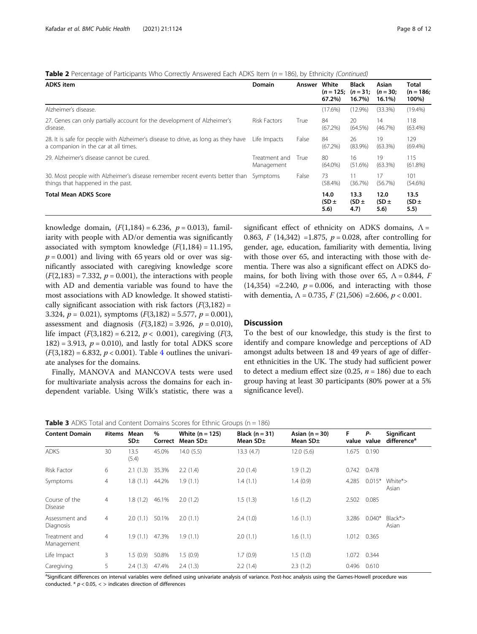<span id="page-7-0"></span>

|  | Table 2 Percentage of Participants Who Correctly Answered Each ADKS Item (n = 186), by Ethnicity (Continued) |  |  |  |
|--|--------------------------------------------------------------------------------------------------------------|--|--|--|
|  |                                                                                                              |  |  |  |

| <b>ADKS</b> item                                                                                                          | Domain                      | Answer | White<br>67.2%)           | <b>Black</b><br>$(n = 125; (n = 31)$<br>16.7%) | Asian<br>$(n = 30)$<br>$16.1\%$ | Total<br>$(n = 186;$<br>100%) |
|---------------------------------------------------------------------------------------------------------------------------|-----------------------------|--------|---------------------------|------------------------------------------------|---------------------------------|-------------------------------|
| Alzheimer's disease.                                                                                                      |                             |        | $(17.6\%)$                | $(12.9\%)$                                     | (33.3%)                         | $(19.4\%)$                    |
| 27. Genes can only partially account for the development of Alzheimer's<br>disease.                                       | <b>Risk Factors</b>         | True   | 84<br>(67.2%)             | 20<br>(64.5%)                                  | 14<br>(46.7%)                   | 118<br>$(63.4\%)$             |
| 28. It is safe for people with Alzheimer's disease to drive, as long as they have<br>a companion in the car at all times. | Life Impacts                | False  | 84<br>(67.2%)             | 26<br>$(83.9\%)$                               | 19<br>$(63.3\%)$                | 129<br>(69.4%)                |
| 29. Alzheimer's disease cannot be cured.                                                                                  | Treatment and<br>Management | True   | 80<br>$(64.0\%)$          | 16<br>$(51.6\%)$                               | 19<br>$(63.3\%)$                | 115<br>$(61.8\%)$             |
| 30. Most people with Alzheimer's disease remember recent events better than<br>things that happened in the past.          | Symptoms                    | False  | 73<br>$(58.4\%)$          | (36.7%)                                        | 17<br>(56.7%)                   | 101<br>$(54.6\%)$             |
| <b>Total Mean ADKS Score</b>                                                                                              |                             |        | 14.0<br>$(SD \pm$<br>5.6) | 13.3<br>$(SD \pm$<br>4.7)                      | 12.0<br>$(SD \pm$<br>5.6)       | 13.5<br>$(SD \pm$<br>5.5)     |

knowledge domain,  $(F(1,184) = 6.236, p = 0.013)$ , familiarity with people with AD/or dementia was significantly associated with symptom knowledge  $(F(1,184) = 11.195)$ ,  $p = 0.001$ ) and living with 65 years old or over was significantly associated with caregiving knowledge score  $(F(2,183) = 7.332, p = 0.001)$ , the interactions with people with AD and dementia variable was found to have the most associations with AD knowledge. It showed statistically significant association with risk factors  $(F(3,182) =$ 3.324,  $p = 0.021$ ), symptoms  $(F(3,182) = 5.577, p = 0.001)$ , assessment and diagnosis  $(F(3,182) = 3.926, p = 0.010)$ , life impact  $(F(3,182) = 6.212, p < 0.001)$ , caregiving  $(F(3, 182) = 6.212, p < 0.001)$  $182$ ) = 3.913,  $p = 0.010$ ), and lastly for total ADKS score  $(F(3,182) = 6.832, p < 0.001)$ . Table [4](#page-8-0) outlines the univariate analyses for the domains.

Finally, MANOVA and MANCOVA tests were used for multivariate analysis across the domains for each independent variable. Using Wilk's statistic, there was a

significant effect of ethnicity on ADKS domains,  $\Lambda$  = 0.863, F (14,342) = 1.875,  $p = 0.028$ , after controlling for gender, age, education, familiarity with dementia, living with those over 65, and interacting with those with dementia. There was also a significant effect on ADKS domains, for both living with those over 65,  $\Lambda = 0.844$ , F  $(14,354)$  = 2.240,  $p = 0.006$ , and interacting with those with dementia,  $\Lambda$  = 0.735,  $F$  (21,506) = 2.606,  $p$  < 0.001.

### **Discussion**

To the best of our knowledge, this study is the first to identify and compare knowledge and perceptions of AD amongst adults between 18 and 49 years of age of different ethnicities in the UK. The study had sufficient power to detect a medium effect size (0.25,  $n = 186$ ) due to each group having at least 30 participants (80% power at a 5% significance level).

| <b>Table 3</b> ADKS Total and Content Domains Scores for Ethnic Groups (n = 186) |  |  |  |  |
|----------------------------------------------------------------------------------|--|--|--|--|
|----------------------------------------------------------------------------------|--|--|--|--|

| <b>Content Domain</b>           | #items Mean    | SD <sub>±</sub> | $\%$<br>Correct | White $(n = 125)$<br>Mean SD± | Black $(n = 31)$<br>Mean SD± | Asian $(n = 30)$<br>Mean $SD±$ | F           | Р-<br>value value | Significant<br>difference <sup>a</sup> |
|---------------------------------|----------------|-----------------|-----------------|-------------------------------|------------------------------|--------------------------------|-------------|-------------------|----------------------------------------|
| <b>ADKS</b>                     | 30             | 13.5<br>(5.4)   | 45.0%           | 14.0(5.5)                     | 13.3(4.7)                    | 12.0(5.6)                      | 1.675       | 0.190             |                                        |
| Risk Factor                     | 6              | 2.1(1.3)        | 35.3%           | 2.2(1.4)                      | 2.0(1.4)                     | 1.9(1.2)                       | 0.742       | 0.478             |                                        |
| Symptoms                        | 4              | 1.8(1.1)        | 44.2%           | 1.9(1.1)                      | 1.4(1.1)                     | 1.4(0.9)                       | 4.285       | $0.015*$          | White*><br>Asian                       |
| Course of the<br><b>Disease</b> | 4              | 1.8(1.2)        | 46.1%           | 2.0(1.2)                      | 1.5(1.3)                     | 1.6(1.2)                       | 2.502       | 0.085             |                                        |
| Assessment and<br>Diagnosis     | 4              | 2.0(1.1)        | 50.1%           | 2.0(1.1)                      | 2.4(1.0)                     | 1.6(1.1)                       | 3.286       | $0.040*$          | $Black*$<br>Asian                      |
| Treatment and<br>Management     | $\overline{4}$ | 1.9(1.1)        | 47.3%           | 1.9(1.1)                      | 2.0(1.1)                     | 1.6(1.1)                       | 1.012 0.365 |                   |                                        |
| Life Impact                     | 3              | 1.5(0.9)        | 50.8%           | 1.5(0.9)                      | 1.7(0.9)                     | 1.5(1.0)                       | 1.072       | 0.344             |                                        |
| Caregiving                      | 5              | 2.4(1.3)        | 47.4%           | 2.4(1.3)                      | 2.2(1.4)                     | 2.3(1.2)                       | 0.496       | 0.610             |                                        |

a<br>Significant differences on interval variables were defined using univariate analysis of variance. Post-hoc analysis using the Games-Howell procedure was conducted.  $* p < 0.05$ ,  $<$  > indicates direction of differences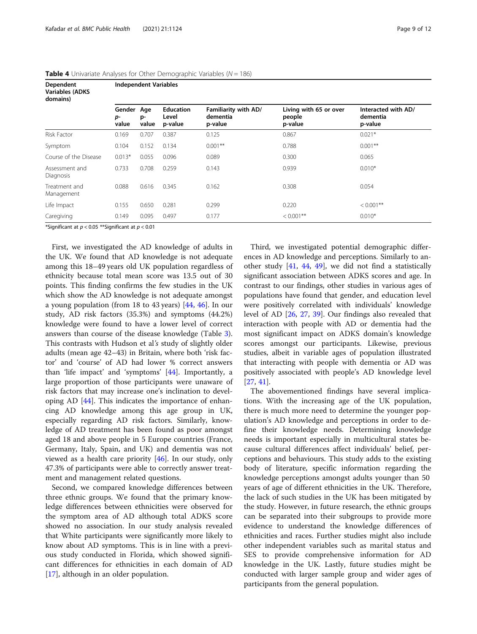| <b>Dependent</b><br><b>Variables (ADKS</b><br>domains) | <b>Independent Variables</b> |                    |                                      |                                             |                                             |                                            |  |  |  |  |
|--------------------------------------------------------|------------------------------|--------------------|--------------------------------------|---------------------------------------------|---------------------------------------------|--------------------------------------------|--|--|--|--|
|                                                        | Gender<br>p-<br>value        | Age<br>p-<br>value | <b>Education</b><br>Level<br>p-value | Familiarity with AD/<br>dementia<br>p-value | Living with 65 or over<br>people<br>p-value | Interacted with AD/<br>dementia<br>p-value |  |  |  |  |
| Risk Factor                                            | 0.169                        | 0.707              | 0.387                                | 0.125                                       | 0.867                                       | $0.021*$                                   |  |  |  |  |
| Symptom                                                | 0.104                        | 0.152              | 0.134                                | $0.001$ **                                  | 0.788                                       | $0.001**$                                  |  |  |  |  |
| Course of the Disease                                  | $0.013*$                     | 0.055              | 0.096                                | 0.089                                       | 0.300                                       | 0.065                                      |  |  |  |  |
| Assessment and<br>Diagnosis                            | 0.733                        | 0.708              | 0.259                                | 0.143                                       | 0.939                                       | $0.010*$                                   |  |  |  |  |
| Treatment and<br>Management                            | 0.088                        | 0.616              | 0.345                                | 0.162                                       | 0.308                                       | 0.054                                      |  |  |  |  |
| Life Impact                                            | 0.155                        | 0.650              | 0.281                                | 0.299                                       | 0.220                                       | $< 0.001$ **                               |  |  |  |  |
| Caregiving                                             | 0.149                        | 0.095              | 0.497                                | 0.177                                       | $< 0.001$ **                                | $0.010*$                                   |  |  |  |  |

<span id="page-8-0"></span>**Table 4** Univariate Analyses for Other Demographic Variables ( $N = 186$ )

\*Significant at  $p < 0.05$  \*\*Significant at  $p < 0.01$ 

First, we investigated the AD knowledge of adults in the UK. We found that AD knowledge is not adequate among this 18–49 years old UK population regardless of ethnicity because total mean score was 13.5 out of 30 points. This finding confirms the few studies in the UK which show the AD knowledge is not adequate amongst a young population (from 18 to 43 years) [\[44](#page-11-0), [46](#page-11-0)]. In our study, AD risk factors (35.3%) and symptoms (44.2%) knowledge were found to have a lower level of correct answers than course of the disease knowledge (Table [3](#page-7-0)). This contrasts with Hudson et al's study of slightly older adults (mean age 42–43) in Britain, where both 'risk factor' and 'course' of AD had lower % correct answers than 'life impact' and 'symptoms' [[44](#page-11-0)]. Importantly, a large proportion of those participants were unaware of risk factors that may increase one's inclination to developing AD [\[44\]](#page-11-0). This indicates the importance of enhancing AD knowledge among this age group in UK, especially regarding AD risk factors. Similarly, knowledge of AD treatment has been found as poor amongst aged 18 and above people in 5 Europe countries (France, Germany, Italy, Spain, and UK) and dementia was not viewed as a health care priority [[46\]](#page-11-0). In our study, only 47.3% of participants were able to correctly answer treatment and management related questions.

Second, we compared knowledge differences between three ethnic groups. We found that the primary knowledge differences between ethnicities were observed for the symptom area of AD although total ADKS score showed no association. In our study analysis revealed that White participants were significantly more likely to know about AD symptoms. This is in line with a previous study conducted in Florida, which showed significant differences for ethnicities in each domain of AD [[17\]](#page-10-0), although in an older population.

Third, we investigated potential demographic differences in AD knowledge and perceptions. Similarly to another study [\[41](#page-11-0), [44,](#page-11-0) [49](#page-11-0)], we did not find a statistically significant association between ADKS scores and age. In contrast to our findings, other studies in various ages of populations have found that gender, and education level were positively correlated with individuals' knowledge level of AD [\[26](#page-10-0), [27,](#page-10-0) [39](#page-11-0)]. Our findings also revealed that interaction with people with AD or dementia had the most significant impact on ADKS domain's knowledge scores amongst our participants. Likewise, previous studies, albeit in variable ages of population illustrated that interacting with people with dementia or AD was positively associated with people's AD knowledge level [[27,](#page-10-0) [41\]](#page-11-0).

The abovementioned findings have several implications. With the increasing age of the UK population, there is much more need to determine the younger population's AD knowledge and perceptions in order to define their knowledge needs. Determining knowledge needs is important especially in multicultural states because cultural differences affect individuals' belief, perceptions and behaviours. This study adds to the existing body of literature, specific information regarding the knowledge perceptions amongst adults younger than 50 years of age of different ethnicities in the UK. Therefore, the lack of such studies in the UK has been mitigated by the study. However, in future research, the ethnic groups can be separated into their subgroups to provide more evidence to understand the knowledge differences of ethnicities and races. Further studies might also include other independent variables such as marital status and SES to provide comprehensive information for AD knowledge in the UK. Lastly, future studies might be conducted with larger sample group and wider ages of participants from the general population.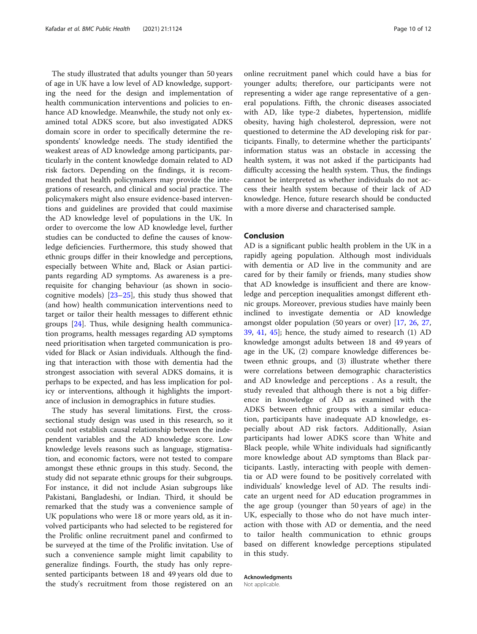The study illustrated that adults younger than 50 years of age in UK have a low level of AD knowledge, supporting the need for the design and implementation of health communication interventions and policies to enhance AD knowledge. Meanwhile, the study not only examined total ADKS score, but also investigated ADKS domain score in order to specifically determine the respondents' knowledge needs. The study identified the weakest areas of AD knowledge among participants, particularly in the content knowledge domain related to AD risk factors. Depending on the findings, it is recommended that health policymakers may provide the integrations of research, and clinical and social practice. The policymakers might also ensure evidence-based interventions and guidelines are provided that could maximise the AD knowledge level of populations in the UK. In order to overcome the low AD knowledge level, further studies can be conducted to define the causes of knowledge deficiencies. Furthermore, this study showed that ethnic groups differ in their knowledge and perceptions, especially between White and, Black or Asian participants regarding AD symptoms. As awareness is a prerequisite for changing behaviour (as shown in sociocognitive models)  $[23-25]$  $[23-25]$  $[23-25]$  $[23-25]$  $[23-25]$ , this study thus showed that (and how) health communication interventions need to target or tailor their health messages to different ethnic groups [\[24](#page-10-0)]. Thus, while designing health communication programs, health messages regarding AD symptoms need prioritisation when targeted communication is provided for Black or Asian individuals. Although the finding that interaction with those with dementia had the strongest association with several ADKS domains, it is perhaps to be expected, and has less implication for policy or interventions, although it highlights the importance of inclusion in demographics in future studies.

The study has several limitations. First, the crosssectional study design was used in this research, so it could not establish causal relationship between the independent variables and the AD knowledge score. Low knowledge levels reasons such as language, stigmatisation, and economic factors, were not tested to compare amongst these ethnic groups in this study. Second, the study did not separate ethnic groups for their subgroups. For instance, it did not include Asian subgroups like Pakistani, Bangladeshi, or Indian. Third, it should be remarked that the study was a convenience sample of UK populations who were 18 or more years old, as it involved participants who had selected to be registered for the Prolific online recruitment panel and confirmed to be surveyed at the time of the Prolific invitation. Use of such a convenience sample might limit capability to generalize findings. Fourth, the study has only represented participants between 18 and 49 years old due to the study's recruitment from those registered on an

online recruitment panel which could have a bias for younger adults; therefore, our participants were not representing a wider age range representative of a general populations. Fifth, the chronic diseases associated with AD, like type-2 diabetes, hypertension, midlife obesity, having high cholesterol, depression, were not questioned to determine the AD developing risk for participants. Finally, to determine whether the participants' information status was an obstacle in accessing the health system, it was not asked if the participants had difficulty accessing the health system. Thus, the findings cannot be interpreted as whether individuals do not access their health system because of their lack of AD knowledge. Hence, future research should be conducted with a more diverse and characterised sample.

### Conclusion

AD is a significant public health problem in the UK in a rapidly ageing population. Although most individuals with dementia or AD live in the community and are cared for by their family or friends, many studies show that AD knowledge is insufficient and there are knowledge and perception inequalities amongst different ethnic groups. Moreover, previous studies have mainly been inclined to investigate dementia or AD knowledge amongst older population (50 years or over) [\[17](#page-10-0), [26,](#page-10-0) [27](#page-10-0), [39,](#page-11-0) [41,](#page-11-0) [45\]](#page-11-0); hence, the study aimed to research (1) AD knowledge amongst adults between 18 and 49 years of age in the UK, (2) compare knowledge differences between ethnic groups, and (3) illustrate whether there were correlations between demographic characteristics and AD knowledge and perceptions . As a result, the study revealed that although there is not a big difference in knowledge of AD as examined with the ADKS between ethnic groups with a similar education, participants have inadequate AD knowledge, especially about AD risk factors. Additionally, Asian participants had lower ADKS score than White and Black people, while White individuals had significantly more knowledge about AD symptoms than Black participants. Lastly, interacting with people with dementia or AD were found to be positively correlated with individuals' knowledge level of AD. The results indicate an urgent need for AD education programmes in the age group (younger than 50 years of age) in the UK, especially to those who do not have much interaction with those with AD or dementia, and the need to tailor health communication to ethnic groups based on different knowledge perceptions stipulated in this study.

### Acknowledgments

Not applicable.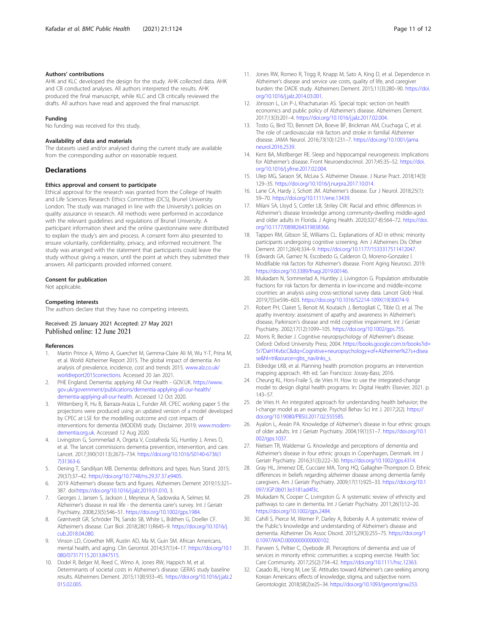### <span id="page-10-0"></span>Authors' contributions

AHK and KLC developed the design for the study. AHK collected data. AHK and CB conducted analyses. All authors interpreted the results. AHK produced the final manuscript, while KLC and CB critically reviewed the drafts. All authors have read and approved the final manuscript.

### Funding

No funding was received for this study.

### Availability of data and materials

The datasets used and/or analysed during the current study are available from the corresponding author on reasonable request.

### Declarations

### Ethics approval and consent to participate

Ethical approval for the research was granted from the College of Health and Life Sciences Research Ethics Committee (DCS), Brunel University London. The study was managed in line with the University's policies on quality assurance in research. All methods were performed in accordance with the relevant guidelines and regulations of Brunel University. A participant information sheet and the online questionnaire were distributed to explain the study's aim and process. A consent form also presented to ensure voluntarily, confidentiality, privacy, and informed recruitment. The study was arranged with the statement that participants could leave the study without giving a reason, until the point at which they submitted their answers. All participants provided informed consent.

### Consent for publication

Not applicable.

### Competing interests

The authors declare that they have no competing interests.

### Received: 25 January 2021 Accepted: 27 May 2021 Published online: 12 June 2021

### References

- 1. Martin Prince A, Wimo A, Guerchet M, Gemma-Claire Ali M, Wu Y-T, Prina M, et al. World Alzheimer Report 2015. The global impact of dementia: An analysis of prevalence, incidence, cost and trends 2015. [www.alz.co.uk/](http://www.alz.co.uk/worldreport2015corrections) [worldreport2015corrections](http://www.alz.co.uk/worldreport2015corrections). Accessed 20 Jan 2021.
- 2. PHE England. Dementia: applying All Our Health GOV.UK. [https://www.](https://www.gov.uk/government/publications/dementia-applying-all-our-health/dementia-applying-all-our-health) [gov.uk/government/publications/dementia-applying-all-our-health/](https://www.gov.uk/government/publications/dementia-applying-all-our-health/dementia-applying-all-our-health) [dementia-applying-all-our-health](https://www.gov.uk/government/publications/dementia-applying-all-our-health/dementia-applying-all-our-health). Accessed 12 Oct 2020.
- 3. Wittenberg R, Hu B, Barraza-Araiza L, Funder AR. CPEC working paper 5 the projections were produced using an updated version of a model developed by CPEC at LSE for the modelling outcome and cost impacts of interventions for dementia (MODEM) study. Disclaimer. 2019; [www.modem](http://www.modem-dementia.org.uk)[dementia.org.uk.](http://www.modem-dementia.org.uk) Accessed 12 Aug 2020.
- 4. Livingston G, Sommerlad A, Orgeta V, Costafreda SG, Huntley J, Ames D, et al. The lancet commissions dementia prevention, intervention, and care. Lancet. 2017;390(10113):2673–734. [https://doi.org/10.1016/S0140-6736\(1](https://doi.org/10.1016/S0140-6736(17)31363-6) [7\)31363-6](https://doi.org/10.1016/S0140-6736(17)31363-6).
- 5. Dening T, Sandilyan MB. Dementia: definitions and types. Nurs Stand. 2015; 29(37):37–42. [https://doi.org/10.7748/ns.29.37.37.e9405.](https://doi.org/10.7748/ns.29.37.37.e9405)
- 6. 2019 Alzheimer's disease facts and figures. Alzheimers Dement 2019;15:321– 387. doi:[https://doi.org/10.1016/j.jalz.2019.01.010,](https://doi.org/10.1016/j.jalz.2019.01.010) 3.
- 7. Georges J, Jansen S, Jackson J, Meyrieux A, Sadowska A, Selmes M. Alzheimer's disease in real life - the dementia carer's survey. Int J Geriatr Psychiatry. 2008;23(5):546–51. [https://doi.org/10.1002/gps.1984.](https://doi.org/10.1002/gps.1984)
- 8. Grøntvedt GR, Schröder TN, Sando SB, White L, Bråthen G, Doeller CF. Alzheimer's disease. Curr Biol. 2018;28(11):R645–9. [https://doi.org/10.1016/j.](https://doi.org/10.1016/j.cub.2018.04.080) [cub.2018.04.080.](https://doi.org/10.1016/j.cub.2018.04.080)
- Vinson LD, Crowther MR, Austin AD, Ma M, Guin SM. African Americans, mental health, and aging. Clin Gerontol. 2014;37(1):4–17. [https://doi.org/10.1](https://doi.org/10.1080/07317115.2013.847515) [080/07317115.2013.847515](https://doi.org/10.1080/07317115.2013.847515).
- 10. Dodel R, Belger M, Reed C, Wimo A, Jones RW, Happich M, et al. Determinants of societal costs in Alzheimer's disease: GERAS study baseline results. Alzheimers Dement. 2015;11(8):933–45. [https://doi.org/10.1016/j.jalz.2](https://doi.org/10.1016/j.jalz.2015.02.005) [015.02.005](https://doi.org/10.1016/j.jalz.2015.02.005).
- [org/10.1016/j.jalz.2014.03.001.](https://doi.org/10.1016/j.jalz.2014.03.001) 12. Jönsson L, Lin P-J, Khachaturian AS. Special topic section on health economics and public policy of Alzheimer's disease. Alzheimers Dement. 2017;13(3):201–4. <https://doi.org/10.1016/j.jalz.2017.02.004>.
- 13. Tosto G, Bird TD, Bennett DA, Boeve BF, Brickman AM, Cruchaga C, et al. The role of cardiovascular risk factors and stroke in familial Alzheimer disease. JAMA Neurol. 2016;73(10):1231–7. [https://doi.org/10.1001/jama](https://doi.org/10.1001/jamaneurol.2016.2539) [neurol.2016.2539.](https://doi.org/10.1001/jamaneurol.2016.2539)
- 14. Kent BA, Mistlberger RE. Sleep and hippocampal neurogenesis: implications for Alzheimer's disease. Front Neuroendocrinol. 2017;45:35–52. [https://doi.](https://doi.org/10.1016/j.yfrne.2017.02.004) [org/10.1016/j.yfrne.2017.02.004](https://doi.org/10.1016/j.yfrne.2017.02.004).
- 15. Ulep MG, Saraon SK, McLea S. Alzheimer Disease. J Nurse Pract. 2018;14(3): 129–35. [https://doi.org/10.1016/j.nurpra.2017.10.014.](https://doi.org/10.1016/j.nurpra.2017.10.014)
- 16. Lane CA, Hardy J, Schott JM. Alzheimer's disease. Eur J Neurol. 2018;25(1): 59–70. <https://doi.org/10.1111/ene.13439>.
- 17. Milani SA, Lloyd S, Cottler LB, Striley CW. Racial and ethnic differences in Alzheimer's disease knowledge among community-dwelling middle-aged and older adults in Florida. J Aging Health. 2020;32(7-8):564–72. [https://doi.](https://doi.org/10.1177/0898264319838366) [org/10.1177/0898264319838366.](https://doi.org/10.1177/0898264319838366)
- 18. Tappen RM, Gibson SE, Williams CL. Explanations of AD in ethnic minority participants undergoing cognitive screening. Am J Alzheimers Dis Other Dement. 2011;26(4):334–9. [https://doi.org/10.1177/1533317511412047.](https://doi.org/10.1177/1533317511412047)
- 19. Edwards GA, Gamez N, Escobedo G, Calderon O, Moreno-Gonzalez I. Modifiable risk factors for Alzheimer's disease. Front Aging Neurosci. 2019. <https://doi.org/10.3389/fnagi.2019.00146>.
- 20. Mukadam N, Sommerlad A, Huntley J, Livingston G. Population attributable fractions for risk factors for dementia in low-income and middle-income countries: an analysis using cross-sectional survey data. Lancet Glob Heal. 2019;7(5):e596–603. [https://doi.org/10.1016/S2214-109X\(19\)30074-9](https://doi.org/10.1016/S2214-109X(19)30074-9).
- 21. Robert PH, Clairet S, Benoit M, Koutaich J, Bertogliati C, Tible O, et al. The apathy inventory: assessment of apathy and awareness in Alzheimer's disease, Parkinson's disease and mild cognitive impairment. Int J Geriatr Psychiatry. 2002;17(12):1099–105. <https://doi.org/10.1002/gps.755>.
- 22. Morris R, Becker J. Cognitive neuropsychology of Alzheimer's disease. Oxford: Oxford University Press; 2004. [https://books.google.com.tr/books?id=](https://books.google.com.tr/books?id=5r7DaH1KvbcC&dq=Cognitive+neuropsychology+of+Alzheimer%27s+disease&hl=tr&source=gbs_navlinks_s) [5r7DaH1KvbcC&dq=Cognitive+neuropsychology+of+Alzheimer%27s+disea](https://books.google.com.tr/books?id=5r7DaH1KvbcC&dq=Cognitive+neuropsychology+of+Alzheimer%27s+disease&hl=tr&source=gbs_navlinks_s) [se&hl=tr&source=gbs\\_navlinks\\_s.](https://books.google.com.tr/books?id=5r7DaH1KvbcC&dq=Cognitive+neuropsychology+of+Alzheimer%27s+disease&hl=tr&source=gbs_navlinks_s)
- 23. Eldredge LKB, et al. Planning health promotion programs an intervention mapping approach. 4th ed. San Francisco: Jossey-Bass; 2016.
- Cheung KL, Hors-Fraile S, de Vries H. How to use the integrated-change model to design digital health programs. In: Digital Health: Elsevier; 2021. p. 143–57.
- 25. de Vries H. An integrated approach for understanding health behavior; the I-change model as an example. Psychol Behav Sci Int J. 2017;2(2). [https://](https://doi.org/10.19080/PBSIJ.2017.02.555585) [doi.org/10.19080/PBSIJ.2017.02.555585.](https://doi.org/10.19080/PBSIJ.2017.02.555585)
- 26. Ayalon L, Areán PA. Knowledge of Alzheimer's disease in four ethnic groups of older adults. Int J Geriatr Psychiatry. 2004;19(1):51–7. [https://doi.org/10.1](https://doi.org/10.1002/gps.1037) [002/gps.1037.](https://doi.org/10.1002/gps.1037)
- 27. Nielsen TR, Waldemar G. Knowledge and perceptions of dementia and Alzheimer's disease in four ethnic groups in Copenhagen, Denmark. Int J Geriatr Psychiatry. 2016;31(3):222–30. <https://doi.org/10.1002/gps.4314>.
- 28. Gray HL, Jimenez DE, Cucciare MA, Tong HQ, Gallagher-Thompson D. Ethnic differences in beliefs regarding alzheimer disease among dementia family caregivers. Am J Geriatr Psychiatry. 2009;17(11):925–33. [https://doi.org/10.1](https://doi.org/10.1097/JGP.0b013e3181ad4f3c) [097/JGP.0b013e3181ad4f3c](https://doi.org/10.1097/JGP.0b013e3181ad4f3c).
- 29. Mukadam N, Cooper C, Livingston G. A systematic review of ethnicity and pathways to care in dementia. Int J Geriatr Psychiatry. 2011;26(1):12–20. <https://doi.org/10.1002/gps.2484>.
- 30. Cahill S, Pierce M, Werner P, Darley A, Bobersky A. A systematic review of the Public's knowledge and understanding of Alzheimer's disease and dementia. Alzheimer Dis Assoc Disord. 2015;29(3):255–75. [https://doi.org/1](https://doi.org/10.1097/WAD.0000000000000102) 0.1097/WAD.00000000000000102.
- 31. Parveen S, Peltier C, Oyebode JR. Perceptions of dementia and use of services in minority ethnic communities: a scoping exercise. Health Soc Care Community. 2017;25(2):734–42. <https://doi.org/10.1111/hsc.12363>.
- 32. Casado BL, Hong M, Lee SE. Attitudes toward Alzheimer's care-seeking among Korean Americans: effects of knowledge, stigma, and subjective norm. Gerontologist. 2018;58(2):e25–34. [https://doi.org/10.1093/geront/gnw253.](https://doi.org/10.1093/geront/gnw253)